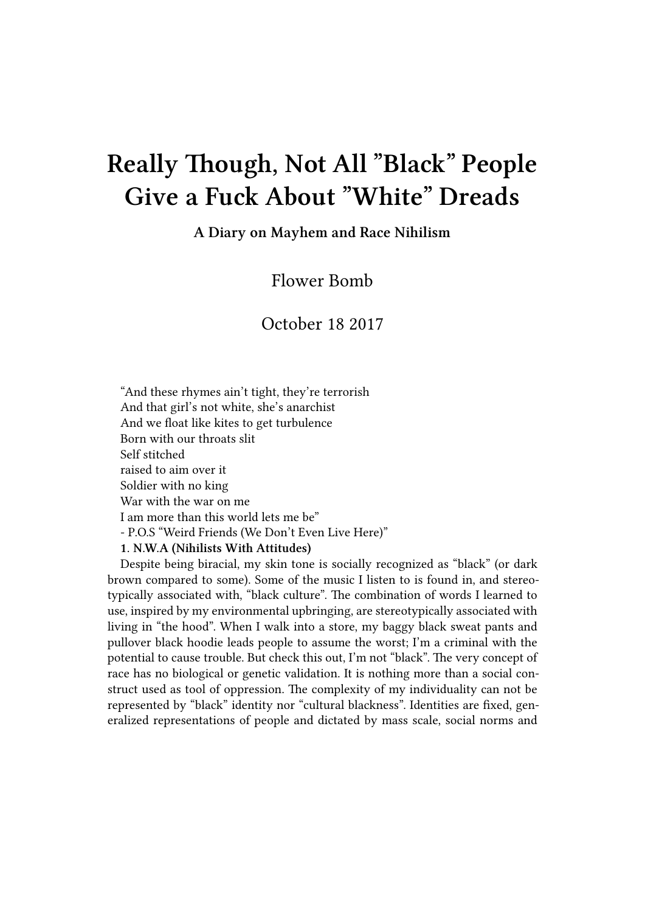## **Really Though, Not All "Black" People Give a Fuck About "White" Dreads**

**A Diary on Mayhem and Race Nihilism**

Flower Bomb

October 18 2017

"And these rhymes ain't tight, they're terrorish And that girl's not white, she's anarchist And we float like kites to get turbulence Born with our throats slit Self stitched raised to aim over it Soldier with no king War with the war on me I am more than this world lets me be" - P.O.S "Weird Friends (We Don't Even Live Here)" **1. N.W.A (Nihilists With Attitudes)**

Despite being biracial, my skin tone is socially recognized as "black" (or dark brown compared to some). Some of the music I listen to is found in, and stereotypically associated with, "black culture". The combination of words I learned to use, inspired by my environmental upbringing, are stereotypically associated with living in "the hood". When I walk into a store, my baggy black sweat pants and pullover black hoodie leads people to assume the worst; I'm a criminal with the potential to cause trouble. But check this out, I'm not "black". The very concept of race has no biological or genetic validation. It is nothing more than a social construct used as tool of oppression. The complexity of my individuality can not be represented by "black" identity nor "cultural blackness". Identities are fixed, gen-

eralized representations of people and dictated by mass scale, social norms and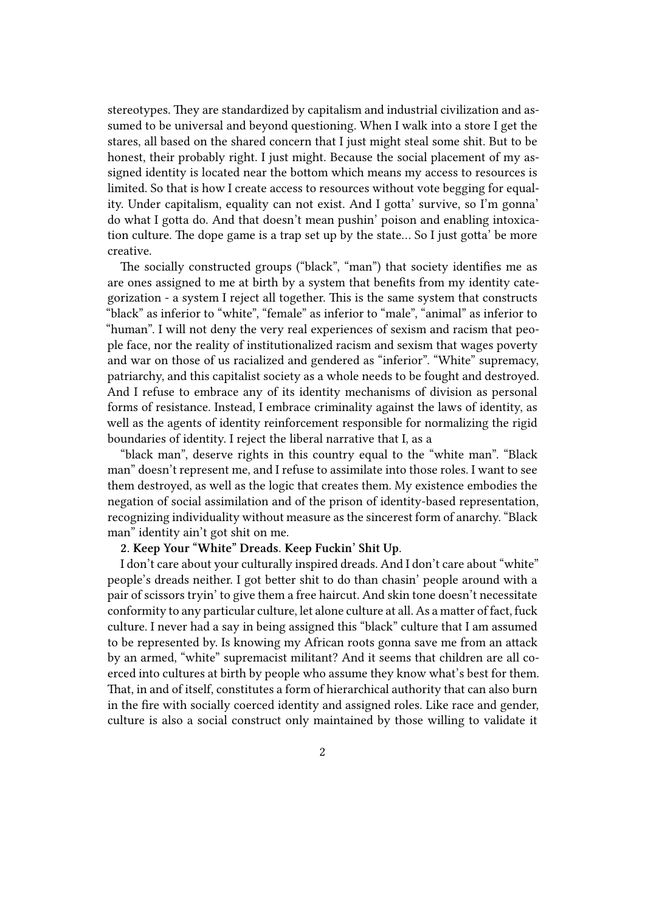stereotypes. They are standardized by capitalism and industrial civilization and assumed to be universal and beyond questioning. When I walk into a store I get the stares, all based on the shared concern that I just might steal some shit. But to be honest, their probably right. I just might. Because the social placement of my assigned identity is located near the bottom which means my access to resources is limited. So that is how I create access to resources without vote begging for equality. Under capitalism, equality can not exist. And I gotta' survive, so I'm gonna' do what I gotta do. And that doesn't mean pushin' poison and enabling intoxication culture. The dope game is a trap set up by the state… So I just gotta' be more creative.

The socially constructed groups ("black", "man") that society identifies me as are ones assigned to me at birth by a system that benefits from my identity categorization - a system I reject all together. This is the same system that constructs "black" as inferior to "white", "female" as inferior to "male", "animal" as inferior to "human". I will not deny the very real experiences of sexism and racism that people face, nor the reality of institutionalized racism and sexism that wages poverty and war on those of us racialized and gendered as "inferior". "White" supremacy, patriarchy, and this capitalist society as a whole needs to be fought and destroyed. And I refuse to embrace any of its identity mechanisms of division as personal forms of resistance. Instead, I embrace criminality against the laws of identity, as well as the agents of identity reinforcement responsible for normalizing the rigid boundaries of identity. I reject the liberal narrative that I, as a

"black man", deserve rights in this country equal to the "white man". "Black man" doesn't represent me, and I refuse to assimilate into those roles. I want to see them destroyed, as well as the logic that creates them. My existence embodies the negation of social assimilation and of the prison of identity-based representation, recognizing individuality without measure as the sincerest form of anarchy. "Black man" identity ain't got shit on me.

## **2. Keep Your "White" Dreads. Keep Fuckin' Shit Up**.

I don't care about your culturally inspired dreads. And I don't care about "white" people's dreads neither. I got better shit to do than chasin' people around with a pair of scissors tryin' to give them a free haircut. And skin tone doesn't necessitate conformity to any particular culture, let alone culture at all. As a matter of fact, fuck culture. I never had a say in being assigned this "black" culture that I am assumed to be represented by. Is knowing my African roots gonna save me from an attack by an armed, "white" supremacist militant? And it seems that children are all coerced into cultures at birth by people who assume they know what's best for them. That, in and of itself, constitutes a form of hierarchical authority that can also burn in the fire with socially coerced identity and assigned roles. Like race and gender, culture is also a social construct only maintained by those willing to validate it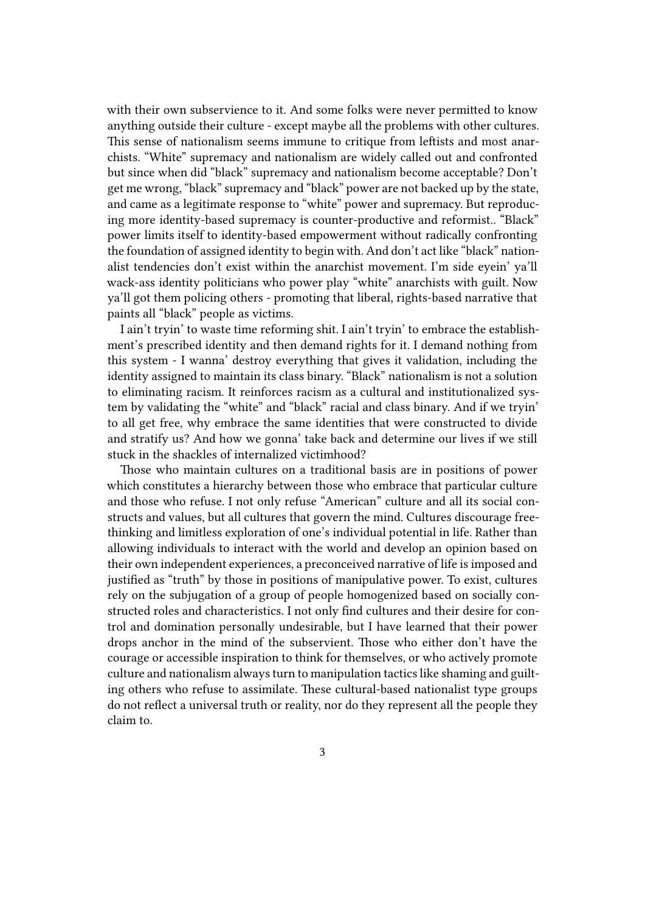with their own subservience to it. And some folks were never permitted to know anything outside their culture - except maybe all the problems with other cultures. This sense of nationalism seems immune to critique from leftists and most anarchists. "White" supremacy and nationalism are widely called out and confronted but since when did "black" supremacy and nationalism become acceptable? Don't get me wrong, "black" supremacy and "black" power are not backed up by the state, and came as a legitimate response to "white" power and supremacy. But reproducing more identity-based supremacy is counter-productive and reformist.. "Black" power limits itself to identity-based empowerment without radically confronting the foundation of assigned identity to begin with. And don't act like "black" nationalist tendencies don't exist within the anarchist movement. I'm side eyein' ya'll wack-ass identity politicians who power play "white" anarchists with guilt. Now ya'll got them policing others - promoting that liberal, rights-based narrative that paints all "black" people as victims.

I ain't tryin' to waste time reforming shit. I ain't tryin' to embrace the establishment's prescribed identity and then demand rights for it. I demand nothing from this system - I wanna' destroy everything that gives it validation, including the identity assigned to maintain its class binary. "Black" nationalism is not a solution to eliminating racism. It reinforces racism as a cultural and institutionalized system by validating the "white" and "black" racial and class binary. And if we tryin' to all get free, why embrace the same identities that were constructed to divide and stratify us? And how we gonna' take back and determine our lives if we still stuck in the shackles of internalized victimhood?

Those who maintain cultures on a traditional basis are in positions of power which constitutes a hierarchy between those who embrace that particular culture and those who refuse. I not only refuse "American" culture and all its social constructs and values, but all cultures that govern the mind. Cultures discourage freethinking and limitless exploration of one's individual potential in life. Rather than allowing individuals to interact with the world and develop an opinion based on their own independent experiences, a preconceived narrative of life is imposed and justified as "truth" by those in positions of manipulative power. To exist, cultures rely on the subjugation of a group of people homogenized based on socially constructed roles and characteristics. I not only find cultures and their desire for control and domination personally undesirable, but I have learned that their power drops anchor in the mind of the subservient. Those who either don't have the courage or accessible inspiration to think for themselves, or who actively promote culture and nationalism always turn to manipulation tactics like shaming and guilting others who refuse to assimilate. These cultural-based nationalist type groups do not reflect a universal truth or reality, nor do they represent all the people they claim to.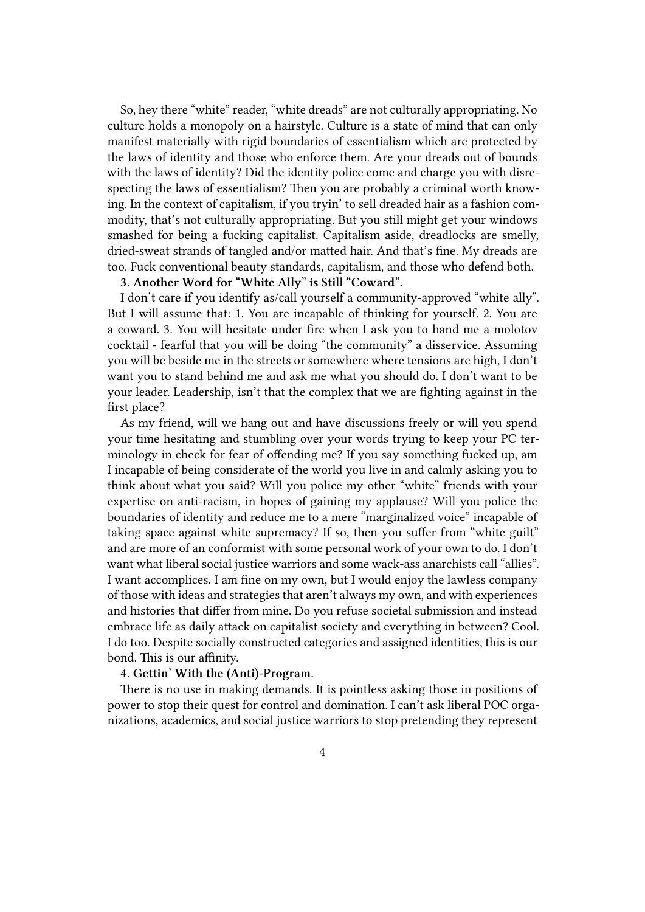So, hey there "white" reader, "white dreads" are not culturally appropriating. No culture holds a monopoly on a hairstyle. Culture is a state of mind that can only manifest materially with rigid boundaries of essentialism which are protected by the laws of identity and those who enforce them. Are your dreads out of bounds with the laws of identity? Did the identity police come and charge you with disrespecting the laws of essentialism? Then you are probably a criminal worth knowing. In the context of capitalism, if you tryin' to sell dreaded hair as a fashion commodity, that's not culturally appropriating. But you still might get your windows smashed for being a fucking capitalist. Capitalism aside, dreadlocks are smelly, dried-sweat strands of tangled and/or matted hair. And that's fine. My dreads are too. Fuck conventional beauty standards, capitalism, and those who defend both.

## **3. Another Word for "White Ally" is Still "Coward".**

I don't care if you identify as/call yourself a community-approved "white ally". But I will assume that: 1. You are incapable of thinking for yourself. 2. You are a coward. 3. You will hesitate under fire when I ask you to hand me a molotov cocktail - fearful that you will be doing "the community" a disservice. Assuming you will be beside me in the streets or somewhere where tensions are high, I don't want you to stand behind me and ask me what you should do. I don't want to be your leader. Leadership, isn't that the complex that we are fighting against in the first place?

As my friend, will we hang out and have discussions freely or will you spend your time hesitating and stumbling over your words trying to keep your PC terminology in check for fear of offending me? If you say something fucked up, am I incapable of being considerate of the world you live in and calmly asking you to think about what you said? Will you police my other "white" friends with your expertise on anti-racism, in hopes of gaining my applause? Will you police the boundaries of identity and reduce me to a mere "marginalized voice" incapable of taking space against white supremacy? If so, then you suffer from "white guilt" and are more of an conformist with some personal work of your own to do. I don't want what liberal social justice warriors and some wack-ass anarchists call "allies". I want accomplices. I am fine on my own, but I would enjoy the lawless company of those with ideas and strategies that aren't always my own, and with experiences and histories that differ from mine. Do you refuse societal submission and instead embrace life as daily attack on capitalist society and everything in between? Cool. I do too. Despite socially constructed categories and assigned identities, this is our bond. This is our affinity.

## **4. Gettin' With the (Anti)-Program.**

There is no use in making demands. It is pointless asking those in positions of power to stop their quest for control and domination. I can't ask liberal POC organizations, academics, and social justice warriors to stop pretending they represent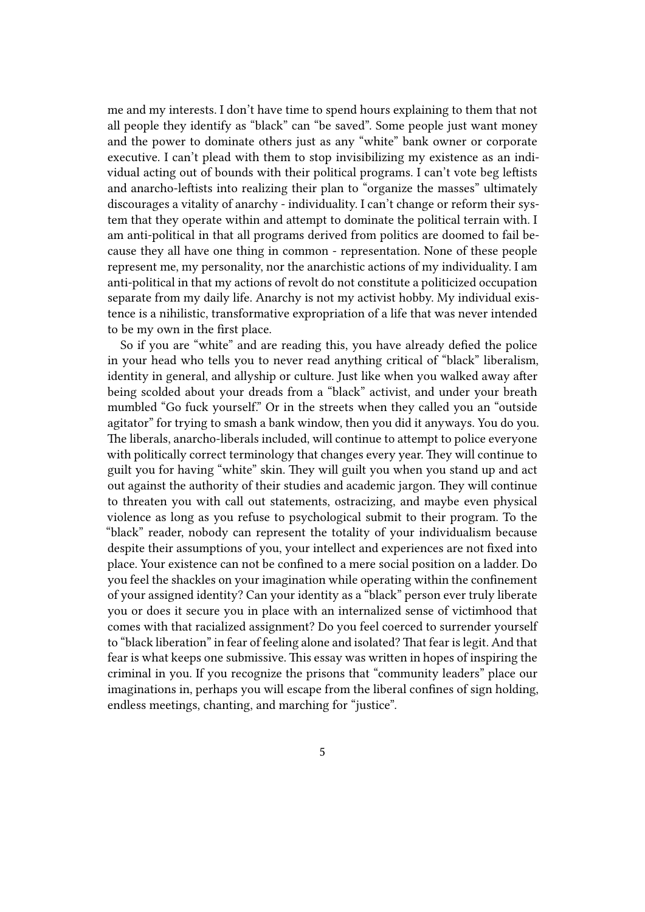me and my interests. I don't have time to spend hours explaining to them that not all people they identify as "black" can "be saved". Some people just want money and the power to dominate others just as any "white" bank owner or corporate executive. I can't plead with them to stop invisibilizing my existence as an individual acting out of bounds with their political programs. I can't vote beg leftists and anarcho-leftists into realizing their plan to "organize the masses" ultimately discourages a vitality of anarchy - individuality. I can't change or reform their system that they operate within and attempt to dominate the political terrain with. I am anti-political in that all programs derived from politics are doomed to fail because they all have one thing in common - representation. None of these people represent me, my personality, nor the anarchistic actions of my individuality. I am anti-political in that my actions of revolt do not constitute a politicized occupation separate from my daily life. Anarchy is not my activist hobby. My individual existence is a nihilistic, transformative expropriation of a life that was never intended to be my own in the first place.

So if you are "white" and are reading this, you have already defied the police in your head who tells you to never read anything critical of "black" liberalism, identity in general, and allyship or culture. Just like when you walked away after being scolded about your dreads from a "black" activist, and under your breath mumbled "Go fuck yourself." Or in the streets when they called you an "outside agitator" for trying to smash a bank window, then you did it anyways. You do you. The liberals, anarcho-liberals included, will continue to attempt to police everyone with politically correct terminology that changes every year. They will continue to guilt you for having "white" skin. They will guilt you when you stand up and act out against the authority of their studies and academic jargon. They will continue to threaten you with call out statements, ostracizing, and maybe even physical violence as long as you refuse to psychological submit to their program. To the "black" reader, nobody can represent the totality of your individualism because despite their assumptions of you, your intellect and experiences are not fixed into place. Your existence can not be confined to a mere social position on a ladder. Do you feel the shackles on your imagination while operating within the confinement of your assigned identity? Can your identity as a "black" person ever truly liberate you or does it secure you in place with an internalized sense of victimhood that comes with that racialized assignment? Do you feel coerced to surrender yourself to "black liberation" in fear of feeling alone and isolated? That fear is legit. And that fear is what keeps one submissive. This essay was written in hopes of inspiring the criminal in you. If you recognize the prisons that "community leaders" place our imaginations in, perhaps you will escape from the liberal confines of sign holding, endless meetings, chanting, and marching for "justice".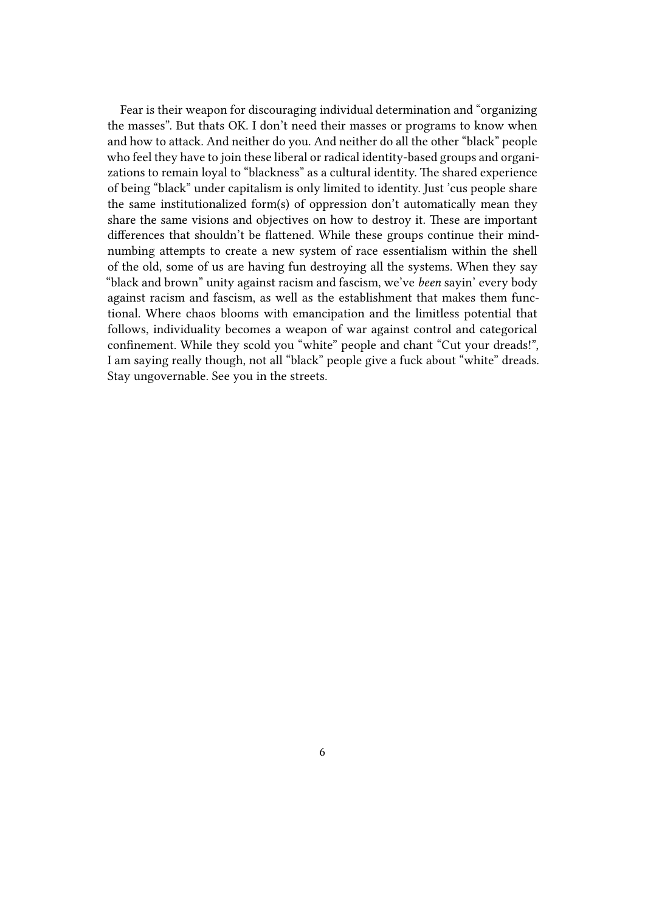Fear is their weapon for discouraging individual determination and "organizing the masses". But thats OK. I don't need their masses or programs to know when and how to attack. And neither do you. And neither do all the other "black" people who feel they have to join these liberal or radical identity-based groups and organizations to remain loyal to "blackness" as a cultural identity. The shared experience of being "black" under capitalism is only limited to identity. Just 'cus people share the same institutionalized form(s) of oppression don't automatically mean they share the same visions and objectives on how to destroy it. These are important differences that shouldn't be flattened. While these groups continue their mindnumbing attempts to create a new system of race essentialism within the shell of the old, some of us are having fun destroying all the systems. When they say "black and brown" unity against racism and fascism, we've *been* sayin' every body against racism and fascism, as well as the establishment that makes them functional. Where chaos blooms with emancipation and the limitless potential that follows, individuality becomes a weapon of war against control and categorical confinement. While they scold you "white" people and chant "Cut your dreads!", I am saying really though, not all "black" people give a fuck about "white" dreads. Stay ungovernable. See you in the streets.